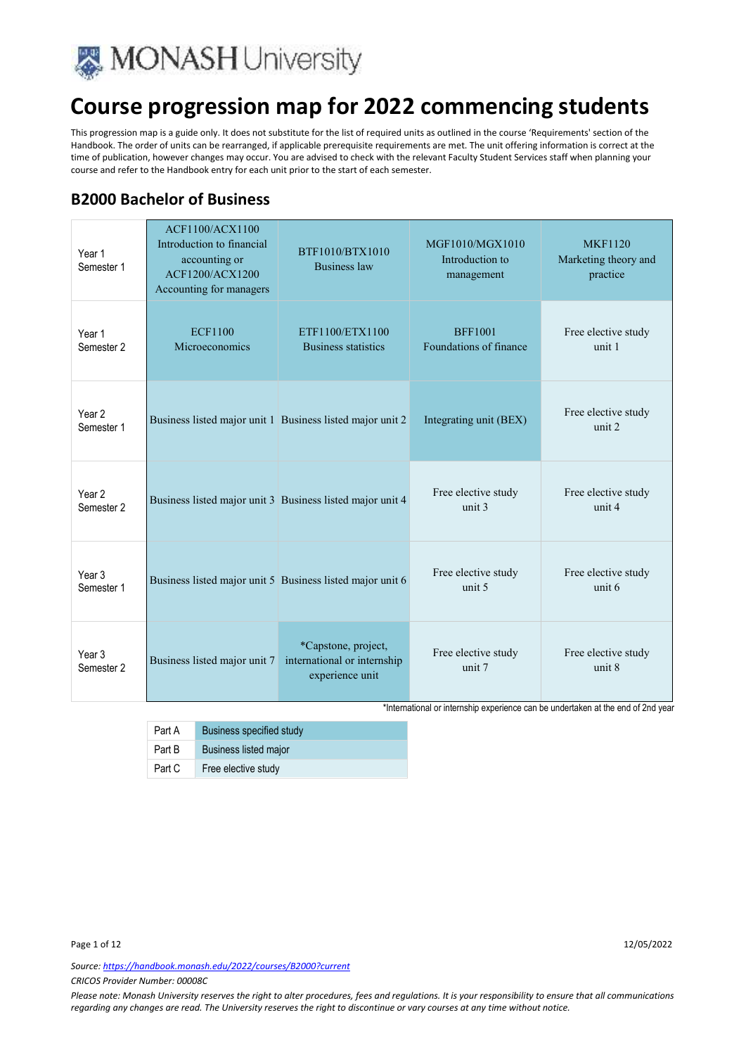

This progression map is a guide only. It does not substitute for the list of required units as outlined in the course 'Requirements' section of the Handbook. The order of units can be rearranged, if applicable prerequisite requirements are met. The unit offering information is correct at the time of publication, however changes may occur. You are advised to check with the relevant Faculty Student Services staff when planning your course and refer to the Handbook entry for each unit prior to the start of each semester.

### **B2000 Bachelor of Business**

| Year 1<br>Semester 1            | <b>ACF1100/ACX1100</b><br>Introduction to financial<br>accounting or<br>ACF1200/ACX1200<br>Accounting for managers | BTF1010/BTX1010<br><b>Business law</b>                                | MGF1010/MGX1010<br>Introduction to<br>management | <b>MKF1120</b><br>Marketing theory and<br>practice |
|---------------------------------|--------------------------------------------------------------------------------------------------------------------|-----------------------------------------------------------------------|--------------------------------------------------|----------------------------------------------------|
| Year 1<br>Semester <sub>2</sub> | <b>ECF1100</b><br>Microeconomics                                                                                   | ETF1100/ETX1100<br><b>Business statistics</b>                         | <b>BFF1001</b><br>Foundations of finance         | Free elective study<br>unit 1                      |
| Year <sub>2</sub><br>Semester 1 |                                                                                                                    | Business listed major unit 1 Business listed major unit 2             | Integrating unit (BEX)                           | Free elective study<br>unit 2                      |
| Year <sub>2</sub><br>Semester 2 |                                                                                                                    | Business listed major unit 3 Business listed major unit 4             | Free elective study<br>unit 3                    | Free elective study<br>unit 4                      |
| Year 3<br>Semester 1            |                                                                                                                    | Business listed major unit 5 Business listed major unit 6             | Free elective study<br>unit 5                    | Free elective study<br>unit 6                      |
| Year <sub>3</sub><br>Semester 2 | Business listed major unit 7                                                                                       | *Capstone, project,<br>international or internship<br>experience unit | Free elective study<br>unit 7                    | Free elective study<br>unit 8                      |

\*International or internship experience can be undertaken at the end of 2nd year

| Part A | Business specified study |
|--------|--------------------------|
| Part B | Business listed major    |
| Part C | Free elective study      |

*Source: https://handbook.monash.edu/2022/courses/B2000?current*

*CRICOS Provider Number: 00008C*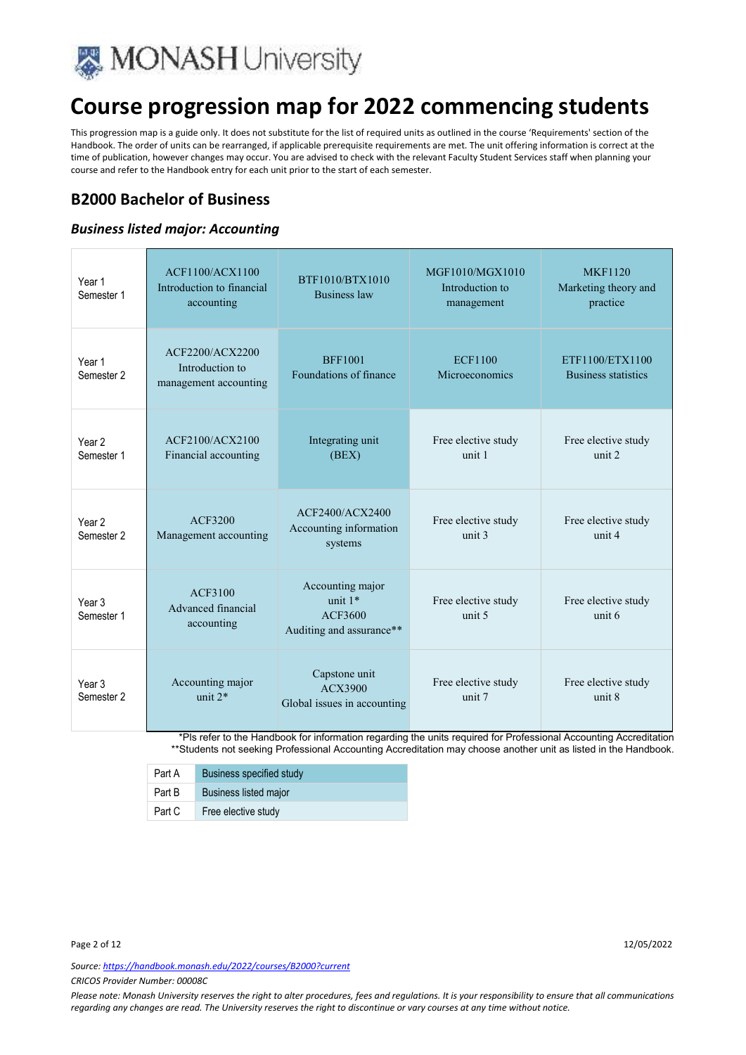

This progression map is a guide only. It does not substitute for the list of required units as outlined in the course 'Requirements' section of the Handbook. The order of units can be rearranged, if applicable prerequisite requirements are met. The unit offering information is correct at the time of publication, however changes may occur. You are advised to check with the relevant Faculty Student Services staff when planning your course and refer to the Handbook entry for each unit prior to the start of each semester.

### **B2000 Bachelor of Business**

#### *Business listed major: Accounting*

| Year 1<br>Semester 1                       | ACF1100/ACX1100<br>Introduction to financial<br>accounting  | BTF1010/BTX1010<br><b>Business law</b>                               | MGF1010/MGX1010<br>Introduction to<br>management | <b>MKF1120</b><br>Marketing theory and<br>practice |
|--------------------------------------------|-------------------------------------------------------------|----------------------------------------------------------------------|--------------------------------------------------|----------------------------------------------------|
| Year 1<br>Semester 2                       | ACF2200/ACX2200<br>Introduction to<br>management accounting | <b>BFF1001</b><br>Foundations of finance                             | <b>ECF1100</b><br>Microeconomics                 | ETF1100/ETX1100<br><b>Business statistics</b>      |
| Year <sub>2</sub><br>Semester 1            | ACF2100/ACX2100<br>Financial accounting                     | Integrating unit<br>(BEX)                                            | Free elective study<br>unit 1                    | Free elective study<br>unit 2                      |
| Year <sub>2</sub><br>Semester <sub>2</sub> | ACF3200<br>Management accounting                            | ACF2400/ACX2400<br>Accounting information<br>systems                 | Free elective study<br>unit 3                    | Free elective study<br>unit 4                      |
| Year <sub>3</sub><br>Semester 1            | ACF3100<br>Advanced financial<br>accounting                 | Accounting major<br>unit $1*$<br>ACF3600<br>Auditing and assurance** | Free elective study<br>unit 5                    | Free elective study<br>unit 6                      |
| Year <sub>3</sub><br>Semester 2            | Accounting major<br>unit $2*$                               | Capstone unit<br>ACX3900<br>Global issues in accounting              | Free elective study<br>unit 7                    | Free elective study<br>unit 8                      |

\*Pls refer to the Handbook for information regarding the units required for Professional Accounting Accreditation \*\*Students not seeking Professional Accounting Accreditation may choose another unit as listed in the Handbook.

| Part A | Business specified study     |
|--------|------------------------------|
| Part B | <b>Business listed major</b> |
| Part C | Free elective study          |

Page 2 of 12 22/05/2022 20:00 12:00 12:00 12:00 12:00 12:00 12:00 12:00 12:00 12:00 12:00 12:00 12:00 12:00 12:00 12:00 12:00 12:00 12:00 12:00 12:00 12:00 12:00 12:00 12:00 12:00 12:00 12:00 12:00 12:00 12:00 12:00 12:00

*Source: https://handbook.monash.edu/2022/courses/B2000?current*

*CRICOS Provider Number: 00008C*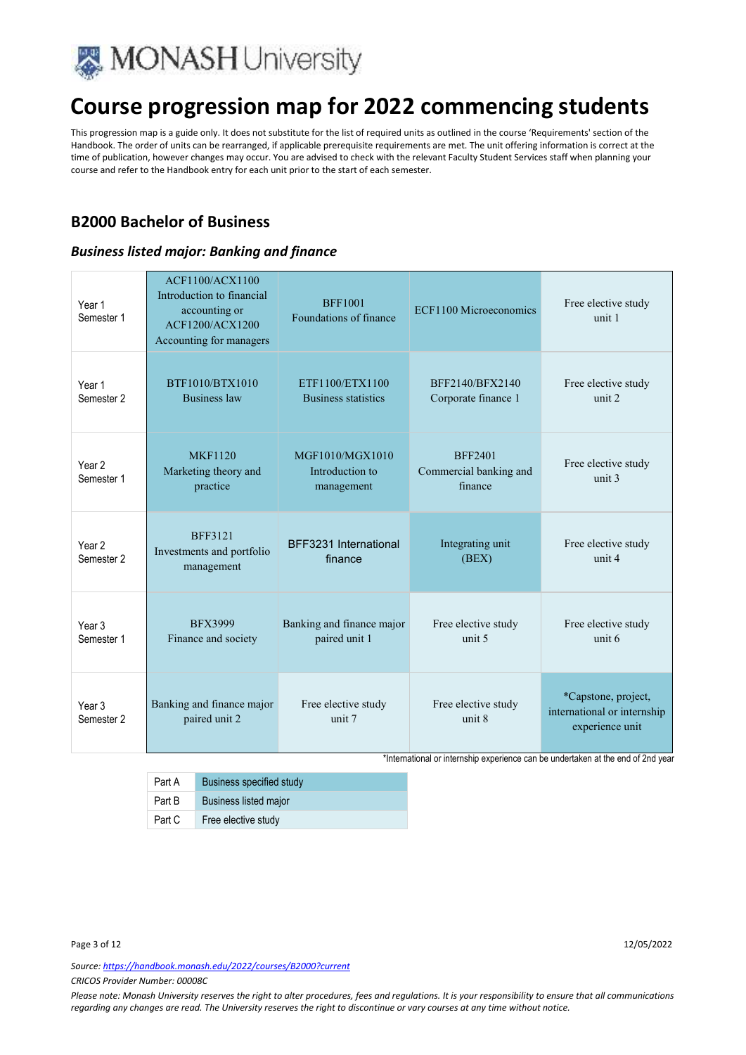

This progression map is a guide only. It does not substitute for the list of required units as outlined in the course 'Requirements' section of the Handbook. The order of units can be rearranged, if applicable prerequisite requirements are met. The unit offering information is correct at the time of publication, however changes may occur. You are advised to check with the relevant Faculty Student Services staff when planning your course and refer to the Handbook entry for each unit prior to the start of each semester.

### **B2000 Bachelor of Business**

#### *Business listed major: Banking and finance*

| Year 1<br>Semester 1            | ACF1100/ACX1100<br>Introduction to financial<br>accounting or<br>ACF1200/ACX1200<br>Accounting for managers | <b>BFF1001</b><br>Foundations of finance         | ECF1100 Microeconomics                              | Free elective study<br>unit 1                                         |
|---------------------------------|-------------------------------------------------------------------------------------------------------------|--------------------------------------------------|-----------------------------------------------------|-----------------------------------------------------------------------|
| Year 1<br>Semester 2            | BTF1010/BTX1010<br><b>Business law</b>                                                                      | ETF1100/ETX1100<br>Business statistics           | BFF2140/BFX2140<br>Corporate finance 1              | Free elective study<br>unit 2                                         |
| Year <sub>2</sub><br>Semester 1 | <b>MKF1120</b><br>Marketing theory and<br>practice                                                          | MGF1010/MGX1010<br>Introduction to<br>management | <b>BFF2401</b><br>Commercial banking and<br>finance | Free elective study<br>unit $3$                                       |
| Year 2<br>Semester 2            | <b>BFF3121</b><br>Investments and portfolio<br>management                                                   | BFF3231 International<br>finance                 | Integrating unit<br>(BEX)                           | Free elective study<br>unit 4                                         |
| Year <sub>3</sub><br>Semester 1 | <b>BFX3999</b><br>Finance and society                                                                       | Banking and finance major<br>paired unit 1       | Free elective study<br>unit 5                       | Free elective study<br>unit 6                                         |
| Year <sub>3</sub><br>Semester 2 | Banking and finance major<br>paired unit 2                                                                  | Free elective study<br>unit 7                    | Free elective study<br>unit 8                       | *Capstone, project,<br>international or internship<br>experience unit |

\*International or internship experience can be undertaken at the end of 2nd year

Part A Business specified study Part B Business listed major Part C Free elective study

Page 3 of 12 22/05/2022 22:00 12:00 12:00 12:00 12:00 12:00 12:00 12:00 12:00 12:00 12:00 12:00 12:00 12:00 12:00 12:00 12:00 12:00 12:00 12:00 12:00 12:00 12:00 12:00 12:00 12:00 12:00 12:00 12:00 12:00 12:00 12:00 12:00

*Source: https://handbook.monash.edu/2022/courses/B2000?current*

*CRICOS Provider Number: 00008C*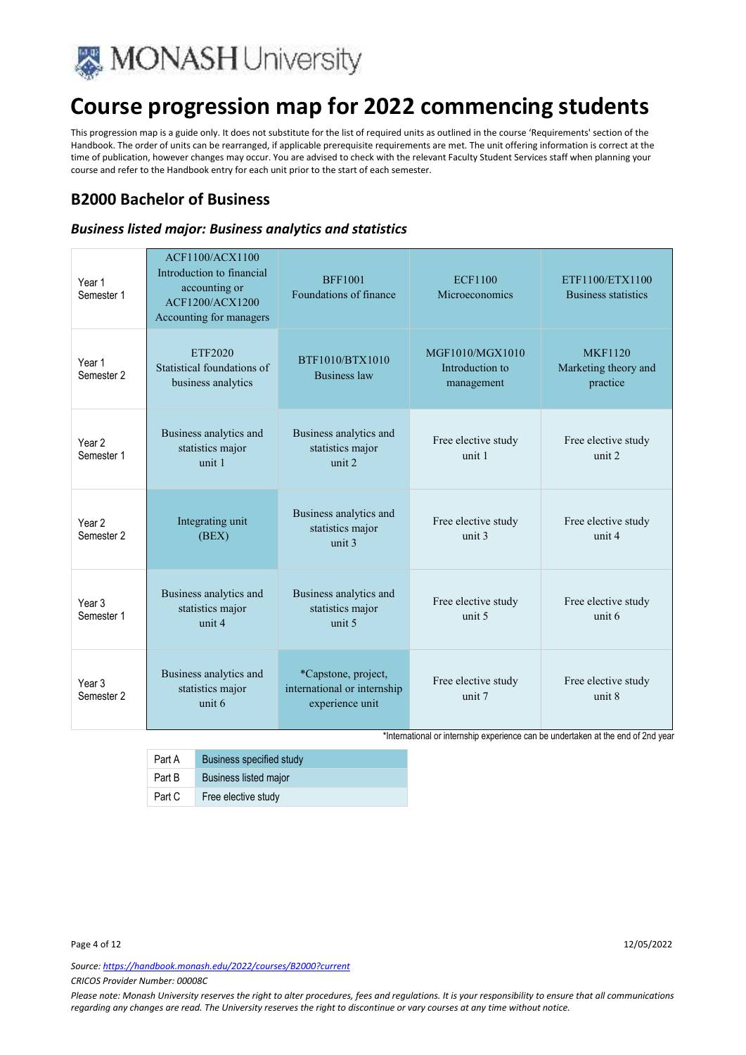

This progression map is a guide only. It does not substitute for the list of required units as outlined in the course 'Requirements' section of the Handbook. The order of units can be rearranged, if applicable prerequisite requirements are met. The unit offering information is correct at the time of publication, however changes may occur. You are advised to check with the relevant Faculty Student Services staff when planning your course and refer to the Handbook entry for each unit prior to the start of each semester.

### **B2000 Bachelor of Business**

#### *Business listed major: Business analytics and statistics*

| Year 1<br>Semester 1            | ACF1100/ACX1100<br>Introduction to financial<br>accounting or<br>ACF1200/ACX1200<br>Accounting for managers | <b>BFF1001</b><br>Foundations of finance                              | <b>ECF1100</b><br>Microeconomics                 | ETF1100/ETX1100<br><b>Business statistics</b>      |
|---------------------------------|-------------------------------------------------------------------------------------------------------------|-----------------------------------------------------------------------|--------------------------------------------------|----------------------------------------------------|
| Year 1<br>Semester 2            | <b>ETF2020</b><br>Statistical foundations of<br>business analytics                                          | BTF1010/BTX1010<br><b>Business law</b>                                | MGF1010/MGX1010<br>Introduction to<br>management | <b>MKF1120</b><br>Marketing theory and<br>practice |
| Year <sub>2</sub><br>Semester 1 | Business analytics and<br>statistics major<br>unit 1                                                        | Business analytics and<br>statistics major<br>unit 2                  | Free elective study<br>unit 1                    | Free elective study<br>unit 2                      |
| Year <sub>2</sub><br>Semester 2 | Integrating unit<br>(BEX)                                                                                   | Business analytics and<br>statistics major<br>unit 3                  | Free elective study<br>unit 3                    | Free elective study<br>unit 4                      |
| Year 3<br>Semester 1            | Business analytics and<br>statistics major<br>unit 4                                                        | Business analytics and<br>statistics major<br>unit 5                  | Free elective study<br>unit 5                    | Free elective study<br>unit 6                      |
| Year <sub>3</sub><br>Semester 2 | Business analytics and<br>statistics major<br>unit 6                                                        | *Capstone, project,<br>international or internship<br>experience unit | Free elective study<br>unit 7                    | Free elective study<br>unit 8                      |

\*International or internship experience can be undertaken at the end of 2nd year

| Part A | Business specified study     |
|--------|------------------------------|
| Part B | <b>Business listed major</b> |
| Part C | Free elective study          |

*Source: https://handbook.monash.edu/2022/courses/B2000?current*

*CRICOS Provider Number: 00008C*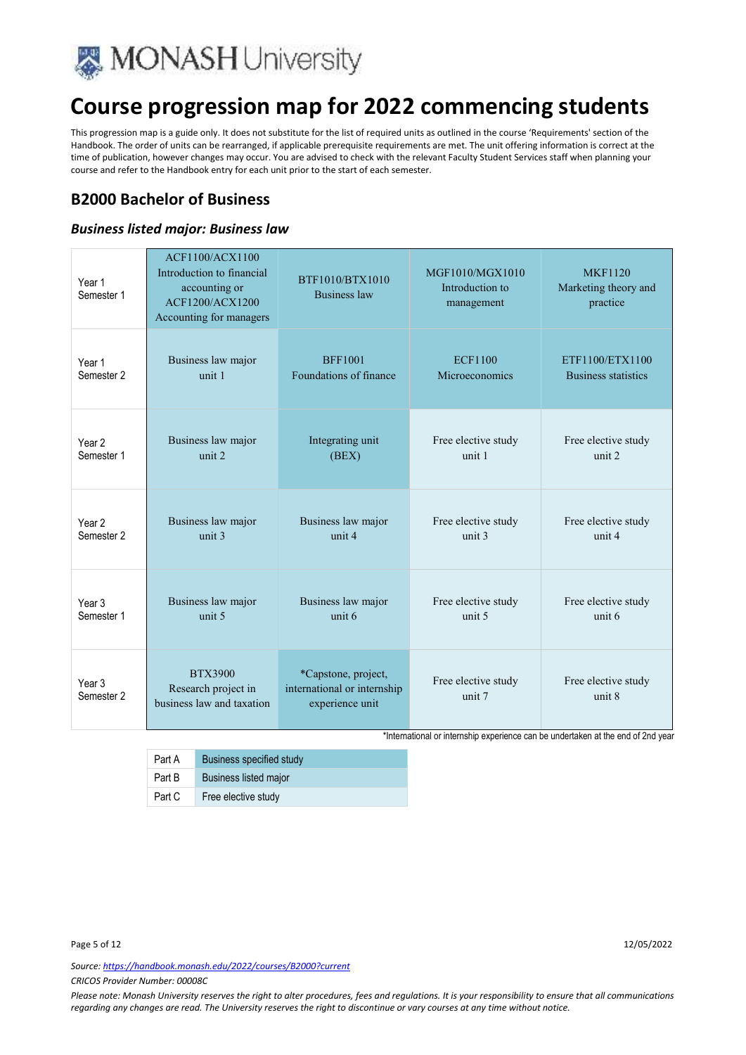

This progression map is a guide only. It does not substitute for the list of required units as outlined in the course 'Requirements' section of the Handbook. The order of units can be rearranged, if applicable prerequisite requirements are met. The unit offering information is correct at the time of publication, however changes may occur. You are advised to check with the relevant Faculty Student Services staff when planning your course and refer to the Handbook entry for each unit prior to the start of each semester.

### **B2000 Bachelor of Business**

#### *Business listed major: Business law*

| Year 1<br>Semester 1            | ACF1100/ACX1100<br>Introduction to financial<br>accounting or<br>ACF1200/ACX1200<br>Accounting for managers | BTF1010/BTX1010<br><b>Business law</b>                                | MGF1010/MGX1010<br>Introduction to<br>management | <b>MKF1120</b><br>Marketing theory and<br>practice |
|---------------------------------|-------------------------------------------------------------------------------------------------------------|-----------------------------------------------------------------------|--------------------------------------------------|----------------------------------------------------|
| Year 1                          | Business law major                                                                                          | <b>BFF1001</b>                                                        | <b>ECF1100</b>                                   | ETF1100/ETX1100                                    |
| Semester <sub>2</sub>           | unit 1                                                                                                      | Foundations of finance                                                | Microeconomics                                   | <b>Business statistics</b>                         |
| Year <sub>2</sub>               | Business law major                                                                                          | Integrating unit                                                      | Free elective study                              | Free elective study                                |
| Semester 1                      | unit 2                                                                                                      | (BEX)                                                                 | unit 1                                           | unit 2                                             |
| Year <sub>2</sub>               | Business law major                                                                                          | Business law major                                                    | Free elective study                              | Free elective study                                |
| Semester 2                      | unit 3                                                                                                      | unit 4                                                                | unit 3                                           | unit 4                                             |
| Year 3                          | Business law major                                                                                          | Business law major                                                    | Free elective study                              | Free elective study                                |
| Semester 1                      | unit 5                                                                                                      | unit 6                                                                | unit <sub>5</sub>                                | unit 6                                             |
| Year <sub>3</sub><br>Semester 2 | <b>BTX3900</b><br>Research project in<br>business law and taxation                                          | *Capstone, project,<br>international or internship<br>experience unit | Free elective study<br>unit 7                    | Free elective study<br>unit 8                      |

\*International or internship experience can be undertaken at the end of 2nd year

| Part A | Business specified study     |
|--------|------------------------------|
| Part B | <b>Business listed major</b> |
| Part C | Free elective study          |

*Source: https://handbook.monash.edu/2022/courses/B2000?current*

*CRICOS Provider Number: 00008C*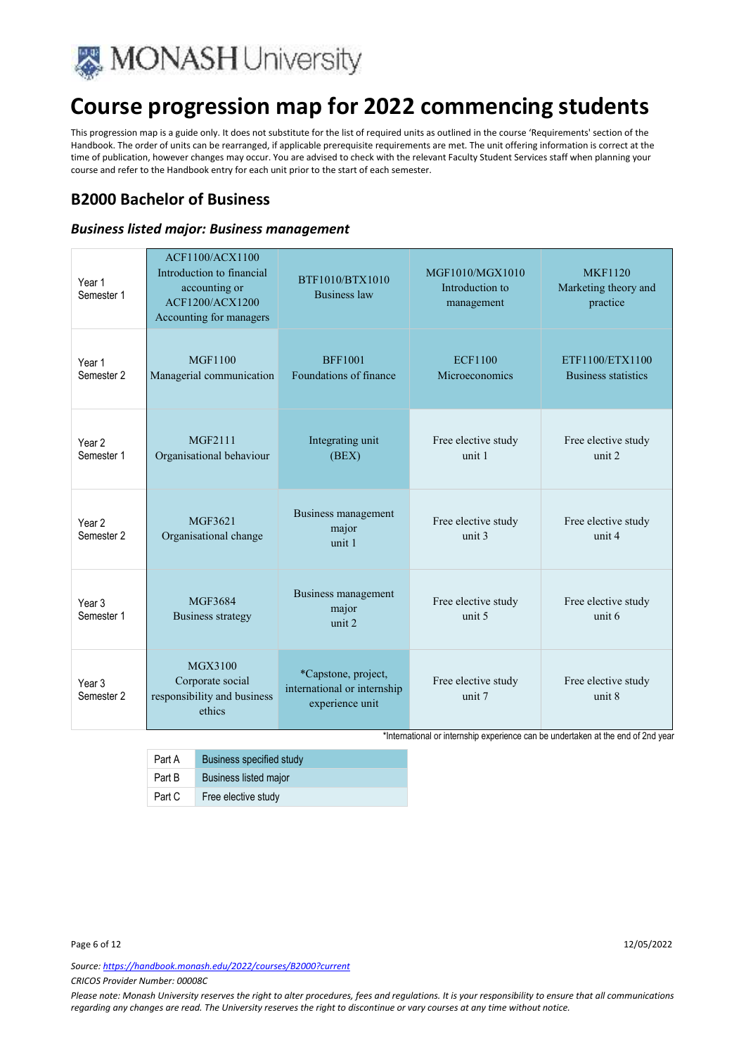

This progression map is a guide only. It does not substitute for the list of required units as outlined in the course 'Requirements' section of the Handbook. The order of units can be rearranged, if applicable prerequisite requirements are met. The unit offering information is correct at the time of publication, however changes may occur. You are advised to check with the relevant Faculty Student Services staff when planning your course and refer to the Handbook entry for each unit prior to the start of each semester.

### **B2000 Bachelor of Business**

#### *Business listed major: Business management*

| Year 1<br>Semester 1                       | ACF1100/ACX1100<br>Introduction to financial<br>accounting or<br>ACF1200/ACX1200<br>Accounting for managers | BTF1010/BTX1010<br><b>Business law</b>                                | MGF1010/MGX1010<br>Introduction to<br>management | <b>MKF1120</b><br>Marketing theory and<br>practice |
|--------------------------------------------|-------------------------------------------------------------------------------------------------------------|-----------------------------------------------------------------------|--------------------------------------------------|----------------------------------------------------|
| Year 1<br>Semester <sub>2</sub>            | <b>MGF1100</b><br>Managerial communication                                                                  | <b>BFF1001</b><br>Foundations of finance                              | <b>ECF1100</b><br>Microeconomics                 | ETF1100/ETX1100<br><b>Business statistics</b>      |
| Year <sub>2</sub><br>Semester 1            | MGF2111<br>Organisational behaviour                                                                         | Integrating unit<br>(BEX)                                             | Free elective study<br>unit 1                    | Free elective study<br>unit 2                      |
| Year <sub>2</sub><br>Semester 2            | MGF3621<br>Organisational change                                                                            | Business management<br>major<br>unit 1                                | Free elective study<br>unit 3                    | Free elective study<br>unit 4                      |
| Year <sub>3</sub><br>Semester 1            | MGF3684<br><b>Business strategy</b>                                                                         | Business management<br>major<br>unit 2                                | Free elective study<br>unit <sub>5</sub>         | Free elective study<br>unit 6                      |
| Year <sub>3</sub><br>Semester <sub>2</sub> | MGX3100<br>Corporate social<br>responsibility and business<br>ethics                                        | *Capstone, project,<br>international or internship<br>experience unit | Free elective study<br>unit 7                    | Free elective study<br>unit 8                      |

\*International or internship experience can be undertaken at the end of 2nd year

| Part A | Business specified study     |
|--------|------------------------------|
| Part B | <b>Business listed major</b> |
| Part C | Free elective study          |

*Source: https://handbook.monash.edu/2022/courses/B2000?current*

*CRICOS Provider Number: 00008C*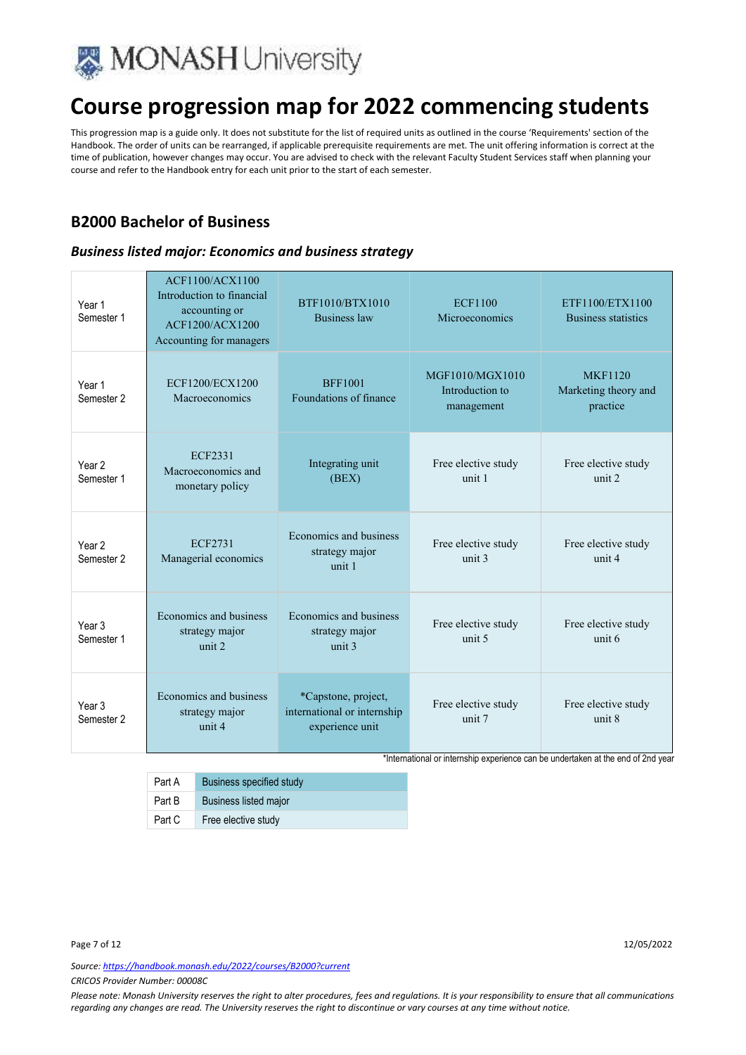

This progression map is a guide only. It does not substitute for the list of required units as outlined in the course 'Requirements' section of the Handbook. The order of units can be rearranged, if applicable prerequisite requirements are met. The unit offering information is correct at the time of publication, however changes may occur. You are advised to check with the relevant Faculty Student Services staff when planning your course and refer to the Handbook entry for each unit prior to the start of each semester.

### **B2000 Bachelor of Business**

#### *Business listed major: Economics and business strategy*

| Year 1<br>Semester 1                       | <b>ACF1100/ACX1100</b><br>Introduction to financial<br>accounting or<br>ACF1200/ACX1200<br>Accounting for managers | BTF1010/BTX1010<br><b>Business law</b>                                | <b>ECF1100</b><br>Microeconomics                 | ETF1100/ETX1100<br><b>Business statistics</b>      |
|--------------------------------------------|--------------------------------------------------------------------------------------------------------------------|-----------------------------------------------------------------------|--------------------------------------------------|----------------------------------------------------|
| Year 1<br>Semester 2                       | ECF1200/ECX1200<br>Macroeconomics                                                                                  | <b>BFF1001</b><br>Foundations of finance                              | MGF1010/MGX1010<br>Introduction to<br>management | <b>MKF1120</b><br>Marketing theory and<br>practice |
| Year 2<br>Semester 1                       | <b>ECF2331</b><br>Macroeconomics and<br>monetary policy                                                            | Integrating unit<br>(BEX)                                             | Free elective study<br>unit 1                    | Free elective study<br>unit 2                      |
| Year <sub>2</sub><br>Semester <sub>2</sub> | <b>ECF2731</b><br>Managerial economics                                                                             | Economics and business<br>strategy major<br>unit 1                    | Free elective study<br>unit <sub>3</sub>         | Free elective study<br>unit 4                      |
| Year <sub>3</sub><br>Semester 1            | Economics and business<br>strategy major<br>unit 2                                                                 | Economics and business<br>strategy major<br>unit <sub>3</sub>         | Free elective study<br>unit 5                    | Free elective study<br>unit 6                      |
| Year <sub>3</sub><br>Semester 2            | Economics and business<br>strategy major<br>unit 4                                                                 | *Capstone, project,<br>international or internship<br>experience unit | Free elective study<br>unit 7                    | Free elective study<br>unit 8                      |

\*International or internship experience can be undertaken at the end of 2nd year

Part A Business specified study Part B Business listed major Part C Free elective study

Page 7 of 12 22/05/2022 22:00 12:00 12:00 12:00 12:00 12:00 12:00 12:00 12:00 12:00 12:00 12:00 12:00 12:00 12:00 12:00 12:00 12:00 12:00 12:00 12:00 12:00 12:00 12:00 12:00 12:00 12:00 12:00 12:00 12:00 12:00 12:00 12:00

*Source: https://handbook.monash.edu/2022/courses/B2000?current*

*CRICOS Provider Number: 00008C*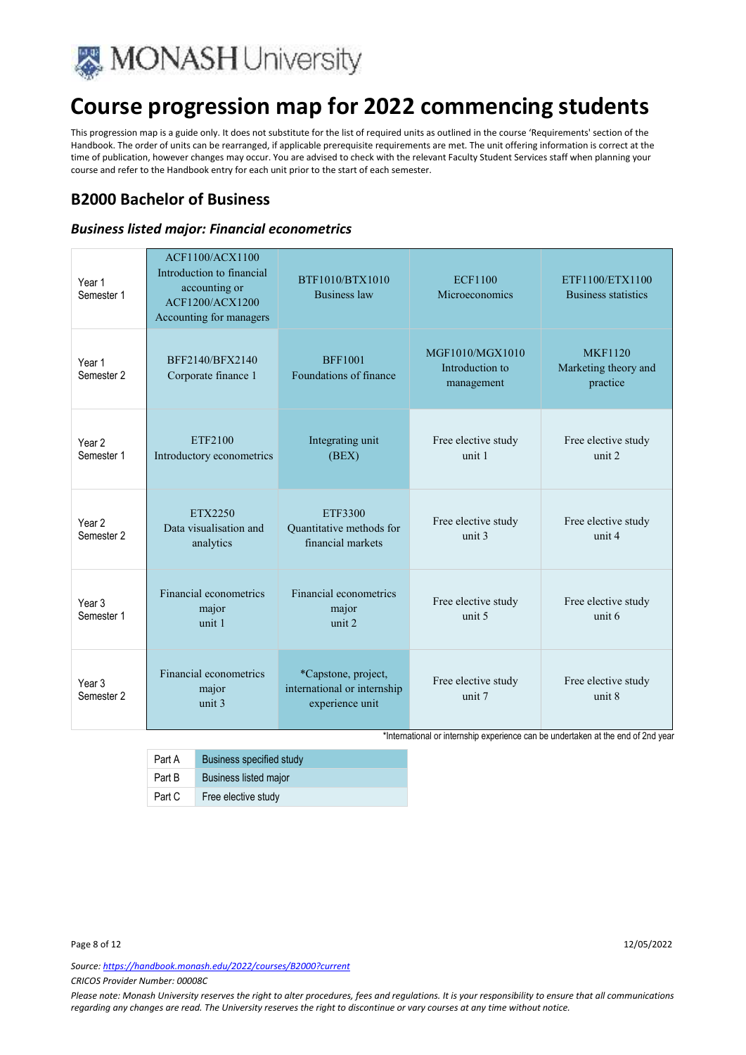

This progression map is a guide only. It does not substitute for the list of required units as outlined in the course 'Requirements' section of the Handbook. The order of units can be rearranged, if applicable prerequisite requirements are met. The unit offering information is correct at the time of publication, however changes may occur. You are advised to check with the relevant Faculty Student Services staff when planning your course and refer to the Handbook entry for each unit prior to the start of each semester.

### **B2000 Bachelor of Business**

#### *Business listed major: Financial econometrics*

| Year 1<br>Semester 1            | ACF1100/ACX1100<br>Introduction to financial<br>accounting or<br>ACF1200/ACX1200<br>Accounting for managers | BTF1010/BTX1010<br><b>Business law</b>                                | <b>ECF1100</b><br>Microeconomics                 | ETF1100/ETX1100<br><b>Business statistics</b>      |
|---------------------------------|-------------------------------------------------------------------------------------------------------------|-----------------------------------------------------------------------|--------------------------------------------------|----------------------------------------------------|
| Year 1<br>Semester <sub>2</sub> | BFF2140/BFX2140<br>Corporate finance 1                                                                      | <b>BFF1001</b><br>Foundations of finance                              | MGF1010/MGX1010<br>Introduction to<br>management | <b>MKF1120</b><br>Marketing theory and<br>practice |
| Year <sub>2</sub><br>Semester 1 | ETF2100<br>Introductory econometrics                                                                        | Integrating unit<br>(BEX)                                             | Free elective study<br>unit 1                    | Free elective study<br>unit 2                      |
| Year 2<br>Semester <sub>2</sub> | ETX2250<br>Data visualisation and<br>analytics                                                              | ETF3300<br>Quantitative methods for<br>financial markets              | Free elective study<br>unit 3                    | Free elective study<br>unit 4                      |
| Year <sub>3</sub><br>Semester 1 | Financial econometrics<br>major<br>unit 1                                                                   | Financial econometrics<br>major<br>unit 2                             | Free elective study<br>unit <sub>5</sub>         | Free elective study<br>unit 6                      |
| Year <sub>3</sub><br>Semester 2 | Financial econometrics<br>major<br>unit $3$                                                                 | *Capstone, project,<br>international or internship<br>experience unit | Free elective study<br>unit 7                    | Free elective study<br>unit 8                      |

\*International or internship experience can be undertaken at the end of 2nd year

| Part A | <b>Business specified study</b> |
|--------|---------------------------------|
| Part B | <b>Business listed major</b>    |
| Part C | Free elective study             |

*Source: https://handbook.monash.edu/2022/courses/B2000?current*

*CRICOS Provider Number: 00008C*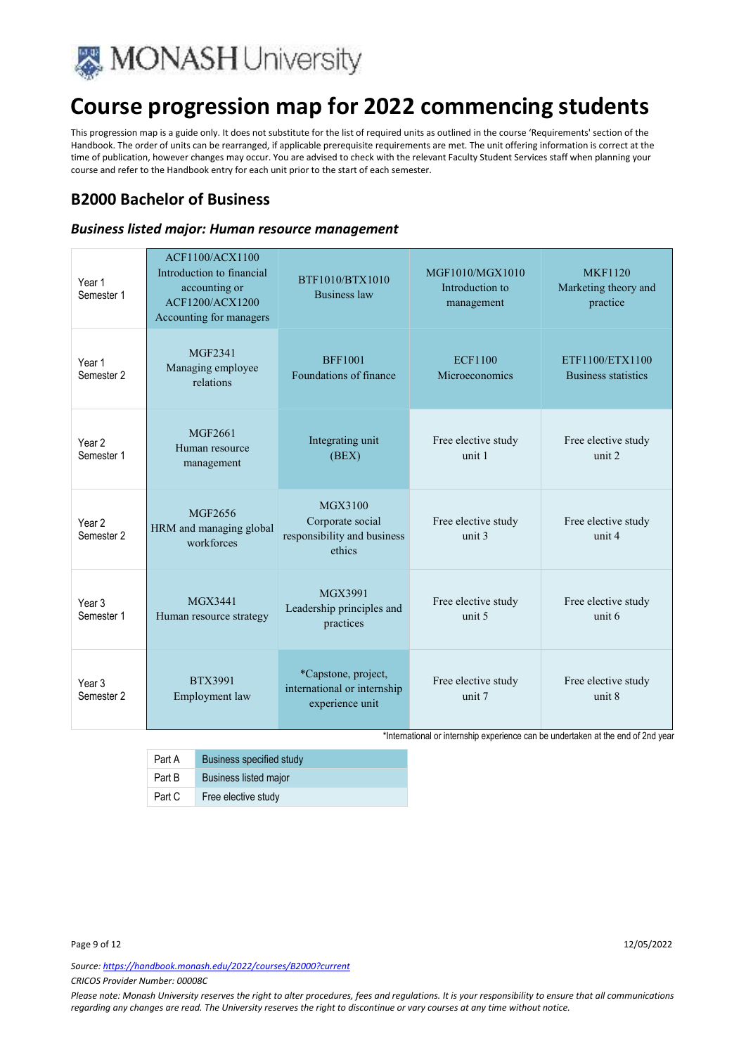

This progression map is a guide only. It does not substitute for the list of required units as outlined in the course 'Requirements' section of the Handbook. The order of units can be rearranged, if applicable prerequisite requirements are met. The unit offering information is correct at the time of publication, however changes may occur. You are advised to check with the relevant Faculty Student Services staff when planning your course and refer to the Handbook entry for each unit prior to the start of each semester.

### **B2000 Bachelor of Business**

#### *Business listed major: Human resource management*

| Year 1<br>Semester 1            | <b>ACF1100/ACX1100</b><br>Introduction to financial<br>accounting or<br>ACF1200/ACX1200<br>Accounting for managers | BTF1010/BTX1010<br><b>Business law</b>                                | MGF1010/MGX1010<br>Introduction to<br>management | <b>MKF1120</b><br>Marketing theory and<br>practice |
|---------------------------------|--------------------------------------------------------------------------------------------------------------------|-----------------------------------------------------------------------|--------------------------------------------------|----------------------------------------------------|
| Year 1<br>Semester <sub>2</sub> | <b>MGF2341</b><br>Managing employee<br>relations                                                                   | <b>BFF1001</b><br>Foundations of finance                              | <b>ECF1100</b><br>Microeconomics                 | ETF1100/ETX1100<br><b>Business statistics</b>      |
| Year <sub>2</sub><br>Semester 1 | MGF2661<br>Human resource<br>management                                                                            | Integrating unit<br>(BEX)                                             | Free elective study<br>unit 1                    | Free elective study<br>unit 2                      |
| Year <sub>2</sub><br>Semester 2 | MGF2656<br>HRM and managing global<br>workforces                                                                   | MGX3100<br>Corporate social<br>responsibility and business<br>ethics  | Free elective study<br>unit 3                    | Free elective study<br>unit 4                      |
| Year 3<br>Semester 1            | MGX3441<br>Human resource strategy                                                                                 | MGX3991<br>Leadership principles and<br>practices                     | Free elective study<br>unit 5                    | Free elective study<br>unit 6                      |
| Year <sub>3</sub><br>Semester 2 | <b>BTX3991</b><br>Employment law                                                                                   | *Capstone, project,<br>international or internship<br>experience unit | Free elective study<br>unit 7                    | Free elective study<br>unit 8                      |

\*International or internship experience can be undertaken at the end of 2nd year

| Part A | Business specified study     |
|--------|------------------------------|
| Part B | <b>Business listed major</b> |
| Part C | Free elective study          |

*Source: https://handbook.monash.edu/2022/courses/B2000?current*

*CRICOS Provider Number: 00008C*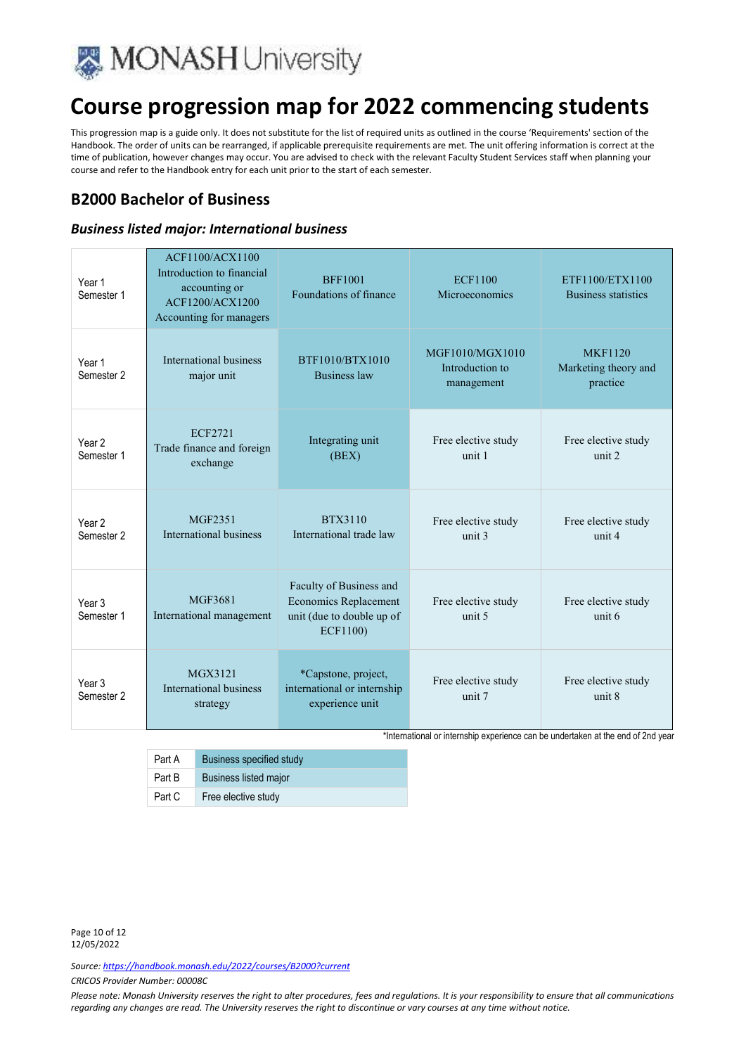

This progression map is a guide only. It does not substitute for the list of required units as outlined in the course 'Requirements' section of the Handbook. The order of units can be rearranged, if applicable prerequisite requirements are met. The unit offering information is correct at the time of publication, however changes may occur. You are advised to check with the relevant Faculty Student Services staff when planning your course and refer to the Handbook entry for each unit prior to the start of each semester.

### **B2000 Bachelor of Business**

#### *Business listed major: International business*

| Year <sub>1</sub><br>Semester 1 | <b>ACF1100/ACX1100</b><br>Introduction to financial<br>accounting or<br>ACF1200/ACX1200<br>Accounting for managers | <b>BFF1001</b><br>Foundations of finance                                                         | <b>ECF1100</b><br>Microeconomics                 | ETF1100/ETX1100<br>Business statistics             |
|---------------------------------|--------------------------------------------------------------------------------------------------------------------|--------------------------------------------------------------------------------------------------|--------------------------------------------------|----------------------------------------------------|
| Year 1<br>Semester 2            | International business<br>major unit                                                                               | BTF1010/BTX1010<br><b>Business law</b>                                                           | MGF1010/MGX1010<br>Introduction to<br>management | <b>MKF1120</b><br>Marketing theory and<br>practice |
| Year <sub>2</sub><br>Semester 1 | ECF2721<br>Trade finance and foreign<br>exchange                                                                   | Integrating unit<br>(BEX)                                                                        | Free elective study<br>unit 1                    | Free elective study<br>unit 2                      |
| Year <sub>2</sub><br>Semester 2 | MGF2351<br>International business                                                                                  | BTX3110<br>International trade law                                                               | Free elective study<br>unit 3                    | Free elective study<br>unit 4                      |
| Year <sub>3</sub><br>Semester 1 | MGF3681<br>International management                                                                                | Faculty of Business and<br><b>Economics Replacement</b><br>unit (due to double up of<br>ECF1100) | Free elective study<br>unit <sub>5</sub>         | Free elective study<br>unit 6                      |
| Year <sub>3</sub><br>Semester 2 | MGX3121<br>International business<br>strategy                                                                      | *Capstone, project,<br>international or internship<br>experience unit                            | Free elective study<br>unit 7                    | Free elective study<br>unit 8                      |

\*International or internship experience can be undertaken at the end of 2nd year

| Part A | <b>Business specified study</b> |
|--------|---------------------------------|
| Part B | <b>Business listed major</b>    |
| Part C | Free elective study             |

Page 10 of 12 12/05/2022

*Source: https://handbook.monash.edu/2022/courses/B2000?current*

*CRICOS Provider Number: 00008C*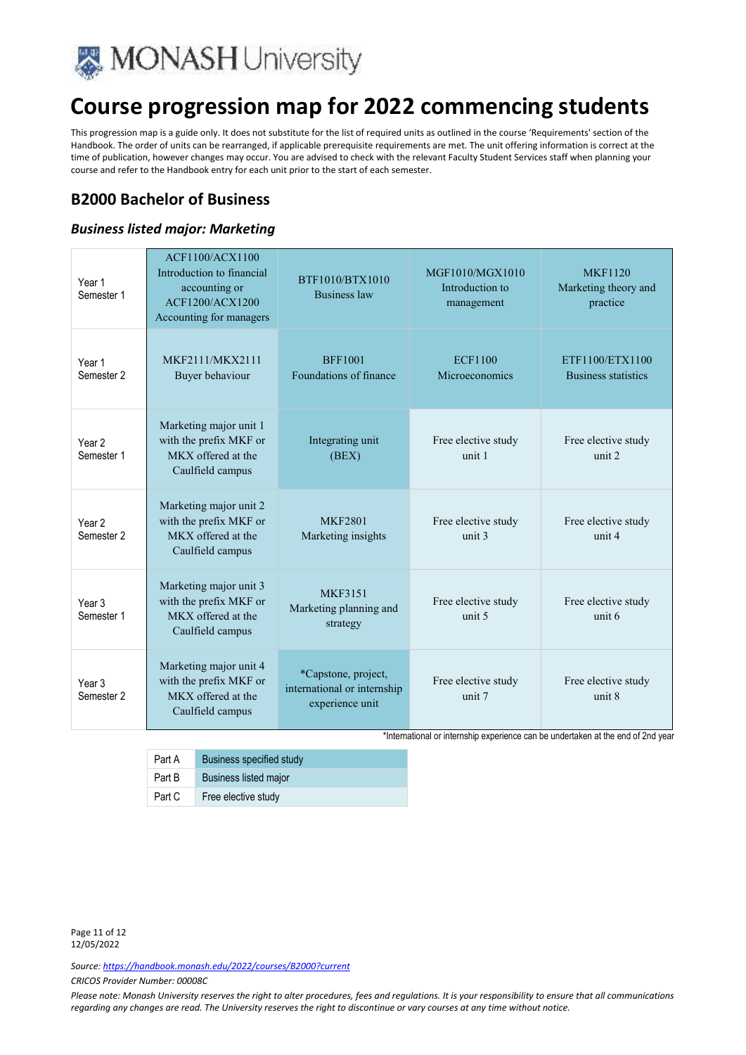

This progression map is a guide only. It does not substitute for the list of required units as outlined in the course 'Requirements' section of the Handbook. The order of units can be rearranged, if applicable prerequisite requirements are met. The unit offering information is correct at the time of publication, however changes may occur. You are advised to check with the relevant Faculty Student Services staff when planning your course and refer to the Handbook entry for each unit prior to the start of each semester.

### **B2000 Bachelor of Business**

#### *Business listed major: Marketing*

| Year 1<br>Semester 1                       | <b>ACF1100/ACX1100</b><br>Introduction to financial<br>accounting or<br>ACF1200/ACX1200<br>Accounting for managers | BTF1010/BTX1010<br><b>Business law</b>                                | MGF1010/MGX1010<br>Introduction to<br>management | <b>MKF1120</b><br>Marketing theory and<br>practice |
|--------------------------------------------|--------------------------------------------------------------------------------------------------------------------|-----------------------------------------------------------------------|--------------------------------------------------|----------------------------------------------------|
| Year 1<br>Semester 2                       | MKF2111/MKX2111<br>Buyer behaviour                                                                                 | <b>BFF1001</b><br>Foundations of finance                              | <b>ECF1100</b><br>Microeconomics                 | ETF1100/ETX1100<br><b>Business statistics</b>      |
| Year <sub>2</sub><br>Semester 1            | Marketing major unit 1<br>with the prefix MKF or<br>MKX offered at the<br>Caulfield campus                         | Integrating unit<br>(BEX)                                             | Free elective study<br>unit 1                    | Free elective study<br>unit 2                      |
| Year <sub>2</sub><br>Semester <sub>2</sub> | Marketing major unit 2<br>with the prefix MKF or<br>MKX offered at the<br>Caulfield campus                         | <b>MKF2801</b><br>Marketing insights                                  | Free elective study<br>unit <sub>3</sub>         | Free elective study<br>unit 4                      |
| Year <sub>3</sub><br>Semester 1            | Marketing major unit 3<br>with the prefix MKF or<br>MKX offered at the<br>Caulfield campus                         | <b>MKF3151</b><br>Marketing planning and<br>strategy                  | Free elective study<br>unit 5                    | Free elective study<br>unit 6                      |
| Year <sub>3</sub><br>Semester 2            | Marketing major unit 4<br>with the prefix MKF or<br>MKX offered at the<br>Caulfield campus                         | *Capstone, project,<br>international or internship<br>experience unit | Free elective study<br>unit 7                    | Free elective study<br>unit 8                      |

\*International or internship experience can be undertaken at the end of 2nd year

| Part A | <b>Business specified study</b> |
|--------|---------------------------------|
| Part B | <b>Business listed major</b>    |
| Part C | Free elective study             |

Page 11 of 12 12/05/2022

*Source: https://handbook.monash.edu/2022/courses/B2000?current*

*CRICOS Provider Number: 00008C*